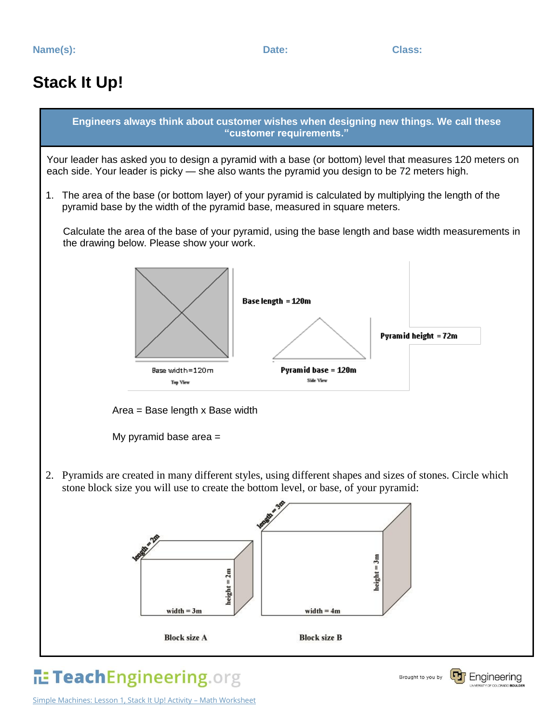## **Stack It Up!**



## TeachEngineering.org

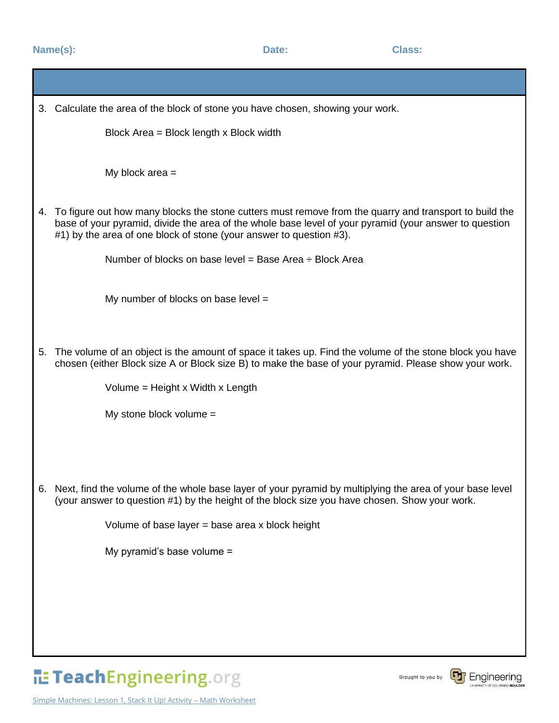**Name(s):** Date: Class:

|    | 3. Calculate the area of the block of stone you have chosen, showing your work.                                                                                                                                                                                                         |
|----|-----------------------------------------------------------------------------------------------------------------------------------------------------------------------------------------------------------------------------------------------------------------------------------------|
|    | Block Area = Block length x Block width                                                                                                                                                                                                                                                 |
|    | My block area $=$                                                                                                                                                                                                                                                                       |
| 4. | To figure out how many blocks the stone cutters must remove from the quarry and transport to build the<br>base of your pyramid, divide the area of the whole base level of your pyramid (your answer to question<br>#1) by the area of one block of stone (your answer to question #3). |
|    | Number of blocks on base level = Base Area $\div$ Block Area                                                                                                                                                                                                                            |
|    | My number of blocks on base level $=$                                                                                                                                                                                                                                                   |
| 5. | The volume of an object is the amount of space it takes up. Find the volume of the stone block you have<br>chosen (either Block size A or Block size B) to make the base of your pyramid. Please show your work.                                                                        |
|    | Volume = Height x Width x Length                                                                                                                                                                                                                                                        |
|    | My stone block volume $=$                                                                                                                                                                                                                                                               |
|    |                                                                                                                                                                                                                                                                                         |
|    | 6. Next, find the volume of the whole base layer of your pyramid by multiplying the area of your base level<br>(your answer to question #1) by the height of the block size you have chosen. Show your work.                                                                            |
|    | Volume of base layer $=$ base area x block height                                                                                                                                                                                                                                       |
|    | My pyramid's base volume =                                                                                                                                                                                                                                                              |
|    |                                                                                                                                                                                                                                                                                         |
|    |                                                                                                                                                                                                                                                                                         |
|    |                                                                                                                                                                                                                                                                                         |

TeachEngineering.org